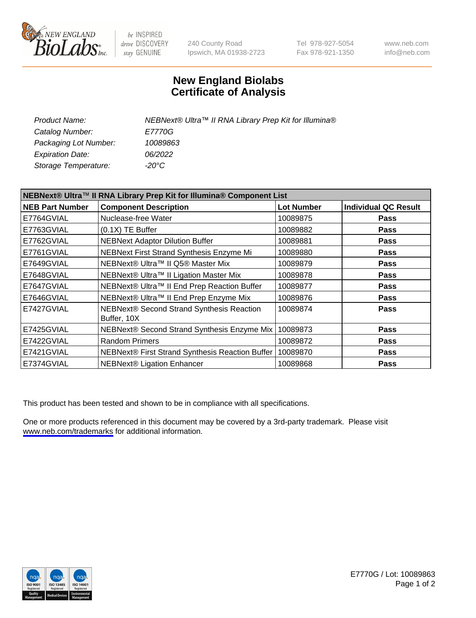

be INSPIRED drive DISCOVERY stay GENUINE

240 County Road Ipswich, MA 01938-2723 Tel 978-927-5054 Fax 978-921-1350

www.neb.com info@neb.com

## **New England Biolabs Certificate of Analysis**

| Product Name:           | NEBNext® Ultra™ II RNA Library Prep Kit for Illumina® |
|-------------------------|-------------------------------------------------------|
| Catalog Number:         | <i>E7770G</i>                                         |
| Packaging Lot Number:   | 10089863                                              |
| <b>Expiration Date:</b> | 06/2022                                               |
| Storage Temperature:    | -20°C                                                 |

| NEBNext® Ultra™ II RNA Library Prep Kit for Illumina® Component List |                                                          |                   |                             |
|----------------------------------------------------------------------|----------------------------------------------------------|-------------------|-----------------------------|
| <b>NEB Part Number</b>                                               | <b>Component Description</b>                             | <b>Lot Number</b> | <b>Individual QC Result</b> |
| E7764GVIAL                                                           | Nuclease-free Water                                      | 10089875          | <b>Pass</b>                 |
| E7763GVIAL                                                           | $(0.1X)$ TE Buffer                                       | 10089882          | Pass                        |
| E7762GVIAL                                                           | <b>NEBNext Adaptor Dilution Buffer</b>                   | 10089881          | <b>Pass</b>                 |
| E7761GVIAL                                                           | NEBNext First Strand Synthesis Enzyme Mi                 | 10089880          | <b>Pass</b>                 |
| E7649GVIAL                                                           | NEBNext® Ultra™ II Q5® Master Mix                        | 10089879          | <b>Pass</b>                 |
| E7648GVIAL                                                           | NEBNext® Ultra™ II Ligation Master Mix                   | 10089878          | <b>Pass</b>                 |
| E7647GVIAL                                                           | NEBNext® Ultra™ II End Prep Reaction Buffer              | 10089877          | <b>Pass</b>                 |
| E7646GVIAL                                                           | NEBNext® Ultra™ II End Prep Enzyme Mix                   | 10089876          | <b>Pass</b>                 |
| E7427GVIAL                                                           | NEBNext® Second Strand Synthesis Reaction<br>Buffer, 10X | 10089874          | <b>Pass</b>                 |
| E7425GVIAL                                                           | NEBNext® Second Strand Synthesis Enzyme Mix              | 10089873          | <b>Pass</b>                 |
| E7422GVIAL                                                           | <b>Random Primers</b>                                    | 10089872          | <b>Pass</b>                 |
| E7421GVIAL                                                           | NEBNext® First Strand Synthesis Reaction Buffer          | 10089870          | Pass                        |
| E7374GVIAL                                                           | <b>NEBNext® Ligation Enhancer</b>                        | 10089868          | <b>Pass</b>                 |

This product has been tested and shown to be in compliance with all specifications.

One or more products referenced in this document may be covered by a 3rd-party trademark. Please visit <www.neb.com/trademarks>for additional information.



E7770G / Lot: 10089863 Page 1 of 2